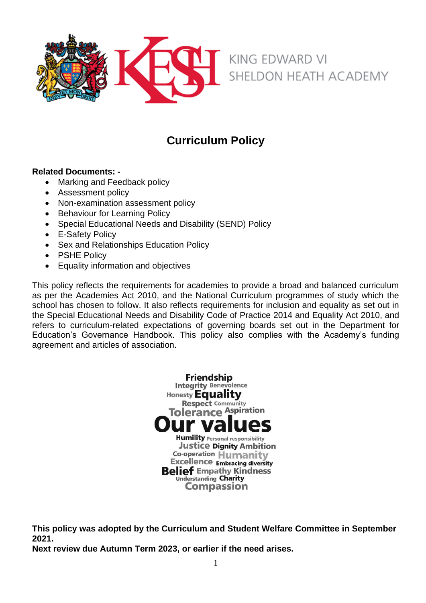

# **Curriculum Policy**

## **Related Documents: -**

- Marking and Feedback policy
- Assessment policy
- Non-examination assessment policy
- Behaviour for Learning Policy
- Special Educational Needs and Disability (SEND) Policy
- E-Safety Policy
- Sex and Relationships Education Policy
- PSHE Policy
- Equality information and objectives

This policy reflects the requirements for academies to provide a broad and balanced curriculum as per the Academies Act 2010, and the National Curriculum programmes of study which the school has chosen to follow. It also reflects requirements for inclusion and equality as set out in the Special Educational Needs and Disability Code of Practice 2014 and Equality Act 2010, and refers to curriculum-related expectations of governing boards set out in the Department for Education's Governance Handbook. This policy also complies with the Academy's funding agreement and articles of association.

> **Friendship Integrity Benevolence** Honesty **Equality Respect Community** Tolerance Aspiration **Humility Personal responsibility Justice Dignity Ambition** Co-operation Humanity **Excellence Embracing diversity Belief Empathy Kindness** Understanding Charity **Compassion**

**This policy was adopted by the Curriculum and Student Welfare Committee in September 2021.**

**Next review due Autumn Term 2023, or earlier if the need arises.**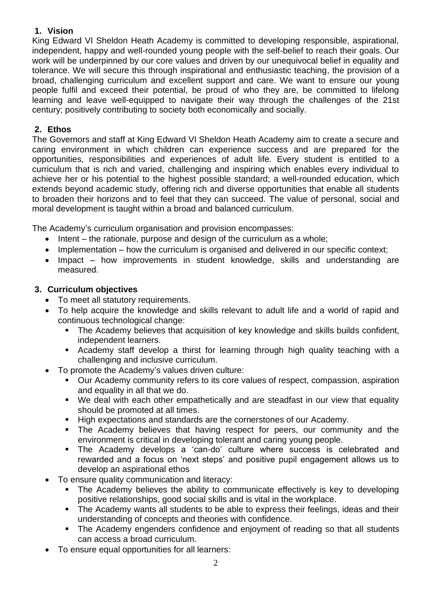# **1. Vision**

King Edward VI Sheldon Heath Academy is committed to developing responsible, aspirational, independent, happy and well-rounded young people with the self-belief to reach their goals. Our work will be underpinned by our core values and driven by our unequivocal belief in equality and tolerance. We will secure this through inspirational and enthusiastic teaching, the provision of a broad, challenging curriculum and excellent support and care. We want to ensure our young people fulfil and exceed their potential, be proud of who they are, be committed to lifelong learning and leave well-equipped to navigate their way through the challenges of the 21st century; positively contributing to society both economically and socially.

# **2. Ethos**

The Governors and staff at King Edward VI Sheldon Heath Academy aim to create a secure and caring environment in which children can experience success and are prepared for the opportunities, responsibilities and experiences of adult life. Every student is entitled to a curriculum that is rich and varied, challenging and inspiring which enables every individual to achieve her or his potential to the highest possible standard; a well-rounded education, which extends beyond academic study, offering rich and diverse opportunities that enable all students to broaden their horizons and to feel that they can succeed. The value of personal, social and moral development is taught within a broad and balanced curriculum.

The Academy's curriculum organisation and provision encompasses:

- Intent the rationale, purpose and design of the curriculum as a whole;
- Implementation how the curriculum is organised and delivered in our specific context;
- Impact how improvements in student knowledge, skills and understanding are measured.

# **3. Curriculum objectives**

- To meet all statutory requirements.
- To help acquire the knowledge and skills relevant to adult life and a world of rapid and continuous technological change:
	- **The Academy believes that acquisition of key knowledge and skills builds confident,** independent learners.
	- Academy staff develop a thirst for learning through high quality teaching with a challenging and inclusive curriculum.
- To promote the Academy's values driven culture:
	- Our Academy community refers to its core values of respect, compassion, aspiration and equality in all that we do.
	- We deal with each other empathetically and are steadfast in our view that equality should be promoted at all times.
	- High expectations and standards are the cornerstones of our Academy.
	- The Academy believes that having respect for peers, our community and the environment is critical in developing tolerant and caring young people.
	- The Academy develops a 'can-do' culture where success is celebrated and rewarded and a focus on 'next steps' and positive pupil engagement allows us to develop an aspirational ethos
- To ensure quality communication and literacy:
	- The Academy believes the ability to communicate effectively is key to developing positive relationships, good social skills and is vital in the workplace.
	- **The Academy wants all students to be able to express their feelings, ideas and their** understanding of concepts and theories with confidence.
	- The Academy engenders confidence and enjoyment of reading so that all students can access a broad curriculum.
- To ensure equal opportunities for all learners: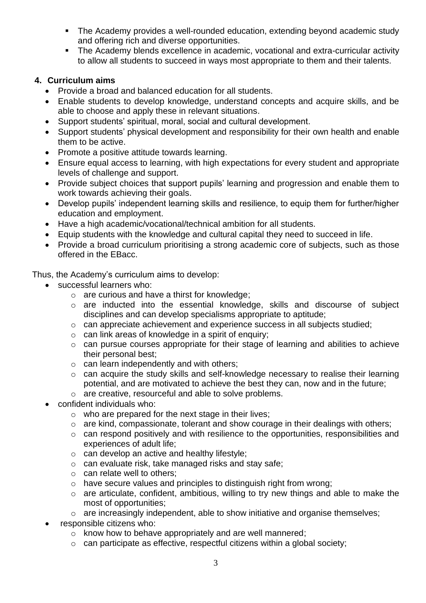- The Academy provides a well-rounded education, extending beyond academic study and offering rich and diverse opportunities.
- **EXTE:** The Academy blends excellence in academic, vocational and extra-curricular activity to allow all students to succeed in ways most appropriate to them and their talents.

# **4. Curriculum aims**

- Provide a broad and balanced education for all students.
- Enable students to develop knowledge, understand concepts and acquire skills, and be able to choose and apply these in relevant situations.
- Support students' spiritual, moral, social and cultural development.
- Support students' physical development and responsibility for their own health and enable them to be active.
- Promote a positive attitude towards learning.
- Ensure equal access to learning, with high expectations for every student and appropriate levels of challenge and support.
- Provide subject choices that support pupils' learning and progression and enable them to work towards achieving their goals.
- Develop pupils' independent learning skills and resilience, to equip them for further/higher education and employment.
- Have a high academic/vocational/technical ambition for all students.
- Equip students with the knowledge and cultural capital they need to succeed in life.
- Provide a broad curriculum prioritising a strong academic core of subiects, such as those offered in the EBacc.

Thus, the Academy's curriculum aims to develop:

- successful learners who:
	- o are curious and have a thirst for knowledge;
	- o are inducted into the essential knowledge, skills and discourse of subject disciplines and can develop specialisms appropriate to aptitude;
	- o can appreciate achievement and experience success in all subjects studied;
	- o can link areas of knowledge in a spirit of enquiry;
	- o can pursue courses appropriate for their stage of learning and abilities to achieve their personal best;
	- o can learn independently and with others;
	- o can acquire the study skills and self-knowledge necessary to realise their learning potential, and are motivated to achieve the best they can, now and in the future;
	- o are creative, resourceful and able to solve problems.
- confident individuals who:
	- o who are prepared for the next stage in their lives;
	- o are kind, compassionate, tolerant and show courage in their dealings with others;
	- o can respond positively and with resilience to the opportunities, responsibilities and experiences of adult life;
	- $\circ$  can develop an active and healthy lifestyle;
	- o can evaluate risk, take managed risks and stay safe;
	- o can relate well to others;
	- o have secure values and principles to distinguish right from wrong;
	- o are articulate, confident, ambitious, willing to try new things and able to make the most of opportunities;
	- o are increasingly independent, able to show initiative and organise themselves;
- responsible citizens who:
	- $\circ$  know how to behave appropriately and are well mannered;
	- $\circ$  can participate as effective, respectful citizens within a global society;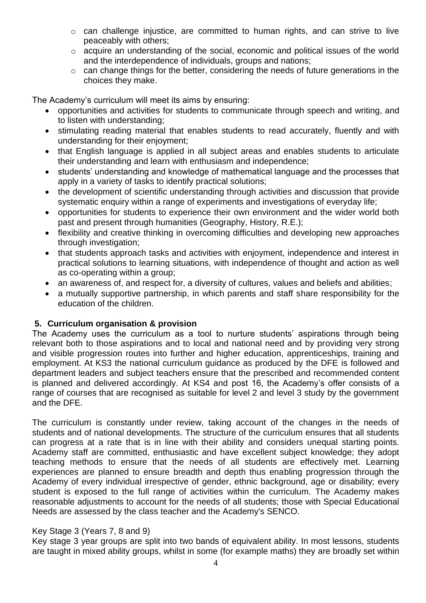- o can challenge injustice, are committed to human rights, and can strive to live peaceably with others;
- o acquire an understanding of the social, economic and political issues of the world and the interdependence of individuals, groups and nations;
- o can change things for the better, considering the needs of future generations in the choices they make.

The Academy's curriculum will meet its aims by ensuring:

- opportunities and activities for students to communicate through speech and writing, and to listen with understanding;
- stimulating reading material that enables students to read accurately, fluently and with understanding for their enjoyment;
- that English language is applied in all subject areas and enables students to articulate their understanding and learn with enthusiasm and independence;
- students' understanding and knowledge of mathematical language and the processes that apply in a variety of tasks to identify practical solutions;
- the development of scientific understanding through activities and discussion that provide systematic enquiry within a range of experiments and investigations of everyday life;
- opportunities for students to experience their own environment and the wider world both past and present through humanities (Geography, History, R.E.);
- flexibility and creative thinking in overcoming difficulties and developing new approaches through investigation;
- that students approach tasks and activities with enjoyment, independence and interest in practical solutions to learning situations, with independence of thought and action as well as co-operating within a group;
- an awareness of, and respect for, a diversity of cultures, values and beliefs and abilities;
- a mutually supportive partnership, in which parents and staff share responsibility for the education of the children.

## **5. Curriculum organisation & provision**

The Academy uses the curriculum as a tool to nurture students' aspirations through being relevant both to those aspirations and to local and national need and by providing very strong and visible progression routes into further and higher education, apprenticeships, training and employment. At KS3 the national curriculum guidance as produced by the DFE is followed and department leaders and subject teachers ensure that the prescribed and recommended content is planned and delivered accordingly. At KS4 and post 16, the Academy's offer consists of a range of courses that are recognised as suitable for level 2 and level 3 study by the government and the DFE.

The curriculum is constantly under review, taking account of the changes in the needs of students and of national developments. The structure of the curriculum ensures that all students can progress at a rate that is in line with their ability and considers unequal starting points. Academy staff are committed, enthusiastic and have excellent subject knowledge; they adopt teaching methods to ensure that the needs of all students are effectively met. Learning experiences are planned to ensure breadth and depth thus enabling progression through the Academy of every individual irrespective of gender, ethnic background, age or disability; every student is exposed to the full range of activities within the curriculum. The Academy makes reasonable adjustments to account for the needs of all students; those with Special Educational Needs are assessed by the class teacher and the Academy's SENCO.

#### Key Stage 3 (Years 7, 8 and 9)

Key stage 3 year groups are split into two bands of equivalent ability. In most lessons, students are taught in mixed ability groups, whilst in some (for example maths) they are broadly set within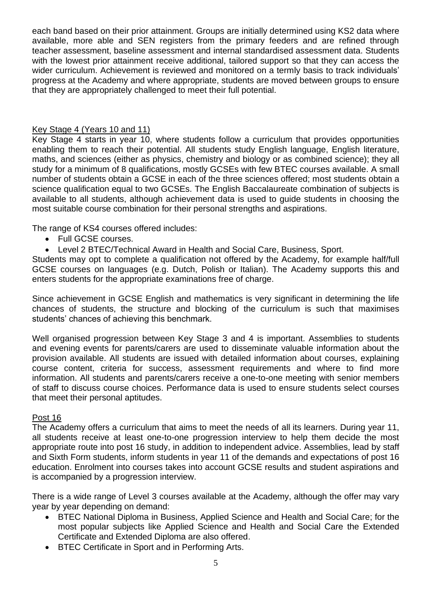each band based on their prior attainment. Groups are initially determined using KS2 data where available, more able and SEN registers from the primary feeders and are refined through teacher assessment, baseline assessment and internal standardised assessment data. Students with the lowest prior attainment receive additional, tailored support so that they can access the wider curriculum. Achievement is reviewed and monitored on a termly basis to track individuals' progress at the Academy and where appropriate, students are moved between groups to ensure that they are appropriately challenged to meet their full potential.

## Key Stage 4 (Years 10 and 11)

Key Stage 4 starts in year 10, where students follow a curriculum that provides opportunities enabling them to reach their potential. All students study English language, English literature, maths, and sciences (either as physics, chemistry and biology or as combined science); they all study for a minimum of 8 qualifications, mostly GCSEs with few BTEC courses available. A small number of students obtain a GCSE in each of the three sciences offered; most students obtain a science qualification equal to two GCSEs. The English Baccalaureate combination of subjects is available to all students, although achievement data is used to guide students in choosing the most suitable course combination for their personal strengths and aspirations.

The range of KS4 courses offered includes:

- Full GCSE courses.
- Level 2 BTEC/Technical Award in Health and Social Care, Business, Sport.

Students may opt to complete a qualification not offered by the Academy, for example half/full GCSE courses on languages (e.g. Dutch, Polish or Italian). The Academy supports this and enters students for the appropriate examinations free of charge.

Since achievement in GCSE English and mathematics is very significant in determining the life chances of students, the structure and blocking of the curriculum is such that maximises students' chances of achieving this benchmark.

Well organised progression between Key Stage 3 and 4 is important. Assemblies to students and evening events for parents/carers are used to disseminate valuable information about the provision available. All students are issued with detailed information about courses, explaining course content, criteria for success, assessment requirements and where to find more information. All students and parents/carers receive a one-to-one meeting with senior members of staff to discuss course choices. Performance data is used to ensure students select courses that meet their personal aptitudes.

#### Post 16

The Academy offers a curriculum that aims to meet the needs of all its learners. During year 11, all students receive at least one-to-one progression interview to help them decide the most appropriate route into post 16 study, in addition to independent advice. Assemblies, lead by staff and Sixth Form students, inform students in year 11 of the demands and expectations of post 16 education. Enrolment into courses takes into account GCSE results and student aspirations and is accompanied by a progression interview.

There is a wide range of Level 3 courses available at the Academy, although the offer may vary year by year depending on demand:

- BTEC National Diploma in Business, Applied Science and Health and Social Care; for the most popular subjects like Applied Science and Health and Social Care the Extended Certificate and Extended Diploma are also offered.
- BTEC Certificate in Sport and in Performing Arts.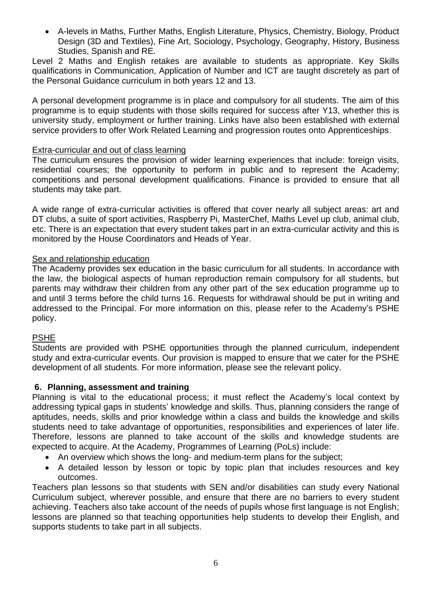• A-levels in Maths, Further Maths, English Literature, Physics, Chemistry, Biology, Product Design (3D and Textiles), Fine Art, Sociology, Psychology, Geography, History, Business Studies, Spanish and RE.

Level 2 Maths and English retakes are available to students as appropriate. Key Skills qualifications in Communication, Application of Number and ICT are taught discretely as part of the Personal Guidance curriculum in both years 12 and 13.

A personal development programme is in place and compulsory for all students. The aim of this programme is to equip students with those skills required for success after Y13, whether this is university study, employment or further training. Links have also been established with external service providers to offer Work Related Learning and progression routes onto Apprenticeships.

#### Extra-curricular and out of class learning

The curriculum ensures the provision of wider learning experiences that include: foreign visits, residential courses; the opportunity to perform in public and to represent the Academy; competitions and personal development qualifications. Finance is provided to ensure that all students may take part.

A wide range of extra-curricular activities is offered that cover nearly all subject areas: art and DT clubs, a suite of sport activities, Raspberry Pi, MasterChef, Maths Level up club, animal club, etc. There is an expectation that every student takes part in an extra-curricular activity and this is monitored by the House Coordinators and Heads of Year.

### Sex and relationship education

The Academy provides sex education in the basic curriculum for all students. In accordance with the law, the biological aspects of human reproduction remain compulsory for all students, but parents may withdraw their children from any other part of the sex education programme up to and until 3 terms before the child turns 16. Requests for withdrawal should be put in writing and addressed to the Principal. For more information on this, please refer to the Academy's PSHE policy.

#### PSHE

Students are provided with PSHE opportunities through the planned curriculum, independent study and extra-curricular events. Our provision is mapped to ensure that we cater for the PSHE development of all students. For more information, please see the relevant policy.

#### **6. Planning, assessment and training**

Planning is vital to the educational process; it must reflect the Academy's local context by addressing typical gaps in students' knowledge and skills. Thus, planning considers the range of aptitudes, needs, skills and prior knowledge within a class and builds the knowledge and skills students need to take advantage of opportunities, responsibilities and experiences of later life. Therefore, lessons are planned to take account of the skills and knowledge students are expected to acquire. At the Academy, Programmes of Learning (PoLs) include:

- An overview which shows the long- and medium-term plans for the subject;
- A detailed lesson by lesson or topic by topic plan that includes resources and key outcomes.

Teachers plan lessons so that students with SEN and/or disabilities can study every National Curriculum subject, wherever possible, and ensure that there are no barriers to every student achieving. Teachers also take account of the needs of pupils whose first language is not English; lessons are planned so that teaching opportunities help students to develop their English, and supports students to take part in all subjects.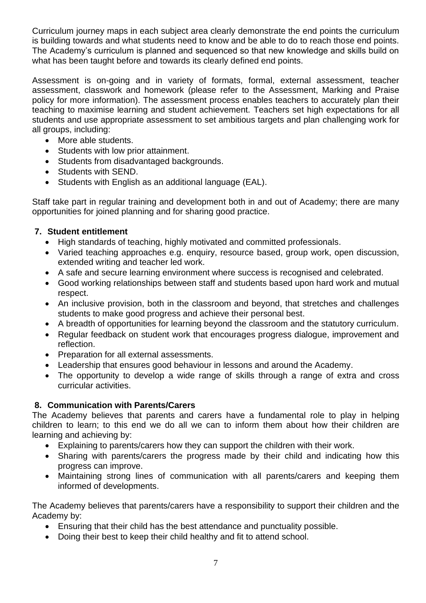Curriculum journey maps in each subject area clearly demonstrate the end points the curriculum is building towards and what students need to know and be able to do to reach those end points. The Academy's curriculum is planned and sequenced so that new knowledge and skills build on what has been taught before and towards its clearly defined end points.

Assessment is on-going and in variety of formats, formal, external assessment, teacher assessment, classwork and homework (please refer to the Assessment, Marking and Praise policy for more information). The assessment process enables teachers to accurately plan their teaching to maximise learning and student achievement. Teachers set high expectations for all students and use appropriate assessment to set ambitious targets and plan challenging work for all groups, including:

- More able students.
- Students with low prior attainment.
- Students from disadvantaged backgrounds.
- Students with SEND.
- Students with English as an additional language (EAL).

Staff take part in regular training and development both in and out of Academy; there are many opportunities for joined planning and for sharing good practice.

# **7. Student entitlement**

- High standards of teaching, highly motivated and committed professionals.
- Varied teaching approaches e.g. enquiry, resource based, group work, open discussion, extended writing and teacher led work.
- A safe and secure learning environment where success is recognised and celebrated.
- Good working relationships between staff and students based upon hard work and mutual respect.
- An inclusive provision, both in the classroom and beyond, that stretches and challenges students to make good progress and achieve their personal best.
- A breadth of opportunities for learning beyond the classroom and the statutory curriculum.
- Regular feedback on student work that encourages progress dialogue, improvement and reflection.
- Preparation for all external assessments.
- Leadership that ensures good behaviour in lessons and around the Academy.
- The opportunity to develop a wide range of skills through a range of extra and cross curricular activities.

# **8. Communication with Parents/Carers**

The Academy believes that parents and carers have a fundamental role to play in helping children to learn; to this end we do all we can to inform them about how their children are learning and achieving by:

- Explaining to parents/carers how they can support the children with their work.
- Sharing with parents/carers the progress made by their child and indicating how this progress can improve.
- Maintaining strong lines of communication with all parents/carers and keeping them informed of developments.

The Academy believes that parents/carers have a responsibility to support their children and the Academy by:

- Ensuring that their child has the best attendance and punctuality possible.
- Doing their best to keep their child healthy and fit to attend school.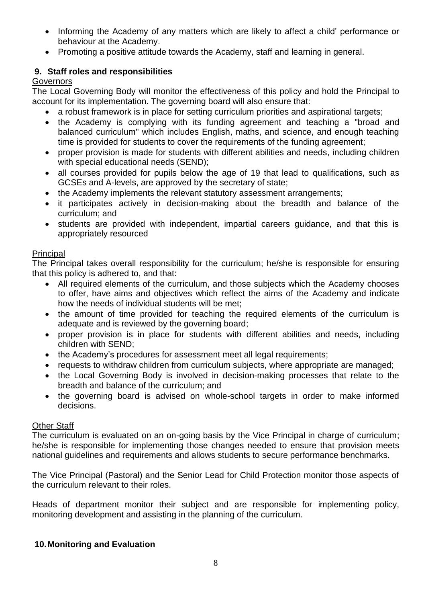- Informing the Academy of any matters which are likely to affect a child' performance or behaviour at the Academy.
- Promoting a positive attitude towards the Academy, staff and learning in general.

# **9. Staff roles and responsibilities**

## **Governors**

The Local Governing Body will monitor the effectiveness of this policy and hold the Principal to account for its implementation. The governing board will also ensure that:

- a robust framework is in place for setting curriculum priorities and aspirational targets;
- the Academy is complying with its funding agreement and teaching a "broad and balanced curriculum" which includes English, maths, and science, and enough teaching time is provided for students to cover the requirements of the funding agreement;
- proper provision is made for students with different abilities and needs, including children with special educational needs (SEND);
- all courses provided for pupils below the age of 19 that lead to qualifications, such as GCSEs and A-levels, are approved by the secretary of state;
- the Academy implements the relevant statutory assessment arrangements;
- it participates actively in decision-making about the breadth and balance of the curriculum; and
- students are provided with independent, impartial careers guidance, and that this is appropriately resourced

# **Principal**

The Principal takes overall responsibility for the curriculum; he/she is responsible for ensuring that this policy is adhered to, and that:

- All required elements of the curriculum, and those subjects which the Academy chooses to offer, have aims and objectives which reflect the aims of the Academy and indicate how the needs of individual students will be met;
- the amount of time provided for teaching the required elements of the curriculum is adequate and is reviewed by the governing board;
- proper provision is in place for students with different abilities and needs, including children with SEND;
- the Academy's procedures for assessment meet all legal requirements;
- requests to withdraw children from curriculum subjects, where appropriate are managed;
- the Local Governing Body is involved in decision-making processes that relate to the breadth and balance of the curriculum; and
- the governing board is advised on whole-school targets in order to make informed decisions.

## Other Staff

The curriculum is evaluated on an on-going basis by the Vice Principal in charge of curriculum; he/she is responsible for implementing those changes needed to ensure that provision meets national guidelines and requirements and allows students to secure performance benchmarks.

The Vice Principal (Pastoral) and the Senior Lead for Child Protection monitor those aspects of the curriculum relevant to their roles.

Heads of department monitor their subject and are responsible for implementing policy, monitoring development and assisting in the planning of the curriculum.

## **10.Monitoring and Evaluation**